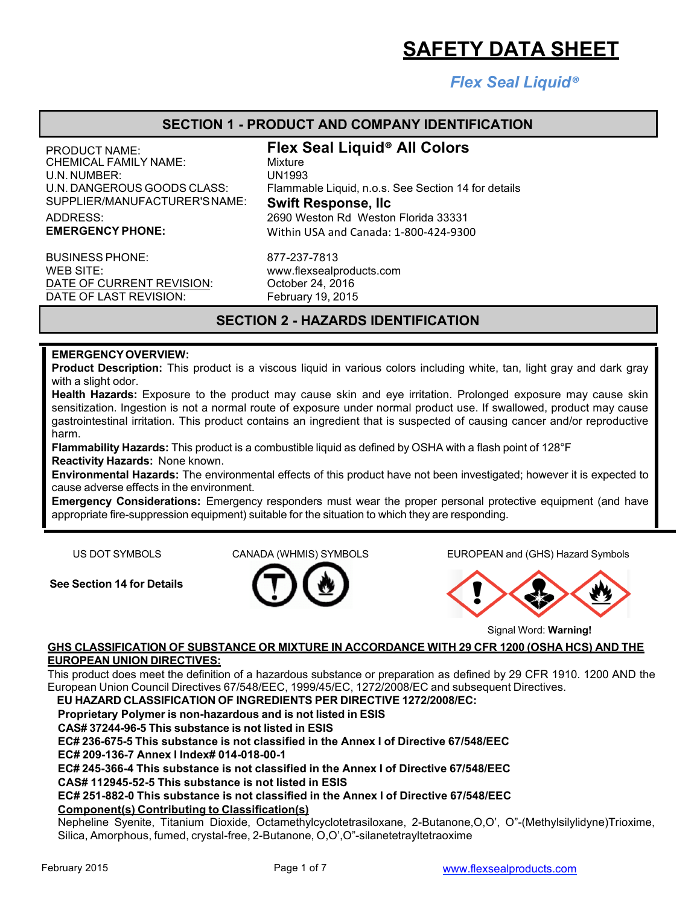# *Flex Seal Liquid®*

## **SECTION 1 - PRODUCT AND COMPANY IDENTIFICATION**

CHEMICAL FAMILY NAME: U.N. NUMBER: UNTHER: UNTHER: UNTHER: UNTHERNIS CLASS: UNTHERNIS U.N. DANGEROUS GOODS CLASS: Trammal SUPPLIER/MANUFACTURER'SNAME: **Swift Response, llc**

BUSINESS PHONE: WEB SITE: www.flexsealproducts.com DATE OF CURRENT REVISION: October 24, 2016 DATE OF LAST REVISION: February 19, 2015

PRODUCT NAME: **Flex Seal Liquid® All Colors** Flammable Liquid, n.o.s. See Section 14 for details ADDRESS: 2690 Weston Rd Weston Florida 33331 **EMERGENCY PHONE:** Within USA and Canada: 1-800-424-9300

877-237-7813

# **SECTION 2 - HAZARDS IDENTIFICATION**

## **EMERGENCYOVERVIEW:**

**Product Description:** This product is a viscous liquid in various colors including white, tan, light gray and dark gray with a slight odor.

**Health Hazards:** Exposure to the product may cause skin and eye irritation. Prolonged exposure may cause skin sensitization. Ingestion is not a normal route of exposure under normal product use. If swallowed, product may cause gastrointestinal irritation. This product contains an ingredient that is suspected of causing cancer and/or reproductive harm.

**Flammability Hazards:** This product is a combustible liquid as defined by OSHA with a flash point of 128°F **Reactivity Hazards:** None known.

**Environmental Hazards:** The environmental effects of this product have not been investigated; however it is expected to cause adverse effects in the environment.

**Emergency Considerations:** Emergency responders must wear the proper personal protective equipment (and have appropriate fire-suppression equipment) suitable for the situation to which they are responding.

**See Section 14 for Details**



US DOT SYMBOLS CANADA (WHMIS) SYMBOLS EUROPEAN and (GHS) Hazard Symbols



Signal Word: **Warning!**

#### **GHS CLASSIFICATION OF SUBSTANCE OR MIXTURE IN ACCORDANCE WITH 29 CFR 1200 (OSHA HCS) AND THE EUROPEAN UNION DIRECTIVES:**

This product does meet the definition of a hazardous substance or preparation as defined by 29 CFR 1910. 1200 AND the European Union Council Directives 67/548/EEC, 1999/45/EC, 1272/2008/EC and subsequent Directives.

**EU HAZARD CLASSIFICATION OF INGREDIENTS PER DIRECTIVE 1272/2008/EC:**

**Proprietary Polymer is non-hazardous and is not listed in ESIS**

**CAS# 37244-96-5 This substance is not listed in ESIS**

**EC# 236-675-5 This substance is not classified in the Annex I of Directive 67/548/EEC**

**EC# 209-136-7 Annex I Index# 014-018-00-1**

**EC# 245-366-4 This substance is not classified in the Annex I of Directive 67/548/EEC**

**CAS# 112945-52-5 This substance is not listed in ESIS**

**EC# 251-882-0 This substance is not classified in the Annex I of Directive 67/548/EEC Component(s) Contributing to Classification(s)**

Nepheline Syenite, Titanium Dioxide, Octamethylcyclotetrasiloxane, 2-Butanone,O,O', O"-(Methylsilylidyne)Trioxime, Silica, Amorphous, fumed, crystal-free, 2-Butanone, O,O',O"-silanetetrayltetraoxime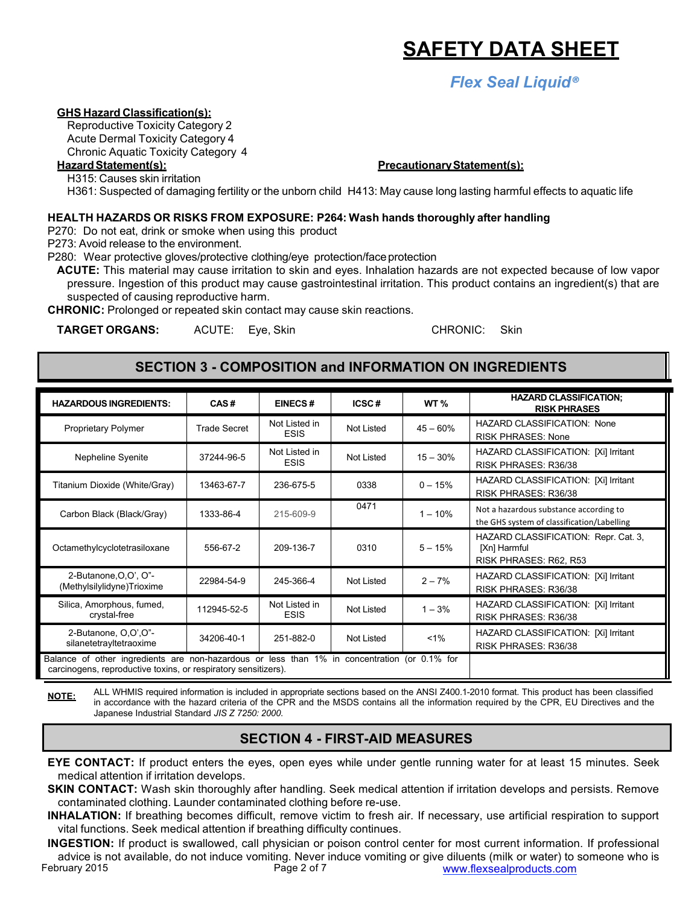*Flex Seal Liquid®*

### **GHS Hazard Classification(s):**

Reproductive Toxicity Category 2 Acute Dermal Toxicity Category 4 Chronic Aquatic Toxicity Category 4

H315: Causes skin irritation

H361: Suspected of damaging fertility or the unborn child H413: May cause long lasting harmful effects to aquatic life

#### **HEALTH HAZARDS OR RISKS FROM EXPOSURE: P264: Wash hands thoroughly after handling**

P270: Do not eat, drink or smoke when using this product

P273: Avoid release to the environment.

P280: Wear protective gloves/protective clothing/eye protection/face protection

**ACUTE:** This material may cause irritation to skin and eyes. Inhalation hazards are not expected because of low vapor pressure. Ingestion of this product may cause gastrointestinal irritation. This product contains an ingredient(s) that are suspected of causing reproductive harm.

**CHRONIC:** Prolonged or repeated skin contact may cause skin reactions.

**TARGET ORGANS:** ACUTE: Eye, Skin CHRONIC: Skin

# **SECTION 3 - COMPOSITION and INFORMATION ON INGREDIENTS**

| <b>HAZARDOUS INGREDIENTS:</b>                                                                                                                                  | CAS#                | <b>EINECS#</b>               | ICSC#             | WT <sub>%</sub> | <b>HAZARD CLASSIFICATION:</b><br><b>RISK PHRASES</b>                                 |
|----------------------------------------------------------------------------------------------------------------------------------------------------------------|---------------------|------------------------------|-------------------|-----------------|--------------------------------------------------------------------------------------|
| <b>Proprietary Polymer</b>                                                                                                                                     | <b>Trade Secret</b> | Not Listed in<br><b>ESIS</b> | <b>Not Listed</b> | $45 - 60%$      | <b>HAZARD CLASSIFICATION: None</b><br><b>RISK PHRASES: None</b>                      |
| Nepheline Syenite                                                                                                                                              | 37244-96-5          | Not Listed in<br><b>ESIS</b> | Not Listed        | $15 - 30%$      | HAZARD CLASSIFICATION: [Xi] Irritant<br>RISK PHRASES: R36/38                         |
| Titanium Dioxide (White/Gray)                                                                                                                                  | 13463-67-7          | 236-675-5                    | 0338              | $0 - 15%$       | HAZARD CLASSIFICATION: [Xi] Irritant<br>RISK PHRASES: R36/38                         |
| Carbon Black (Black/Gray)                                                                                                                                      | 1333-86-4           | 215-609-9                    | 0471              | $1 - 10%$       | Not a hazardous substance according to<br>the GHS system of classification/Labelling |
| Octamethylcyclotetrasiloxane                                                                                                                                   | 556-67-2            | 209-136-7                    | 0310              | $5 - 15%$       | HAZARD CLASSIFICATION: Repr. Cat. 3,<br>[Xn] Harmful<br>RISK PHRASES: R62, R53       |
| 2-Butanone, O, O', O"-<br>(Methylsilylidyne)Trioxime                                                                                                           | 22984-54-9          | 245-366-4                    | Not Listed        | $2 - 7%$        | HAZARD CLASSIFICATION: [Xi] Irritant<br>RISK PHRASES: R36/38                         |
| Silica, Amorphous, fumed,<br>crystal-free                                                                                                                      | 112945-52-5         | Not Listed in<br><b>ESIS</b> | Not Listed        | $1 - 3%$        | HAZARD CLASSIFICATION: [Xi] Irritant<br>RISK PHRASES: R36/38                         |
| 2-Butanone, O,O',O"-<br>silanetetrayltetraoxime                                                                                                                | 34206-40-1          | 251-882-0                    | Not Listed        | $1\%$           | HAZARD CLASSIFICATION: [Xi] Irritant<br>RISK PHRASES: R36/38                         |
| Balance of other ingredients are non-hazardous or less than 1% in concentration (or 0.1% for<br>carcinogens, reproductive toxins, or respiratory sensitizers). |                     |                              |                   |                 |                                                                                      |

**NOTE:** ALL WHMIS required information is included in appropriate sections based on the ANSI Z400.1-2010 format. This product has been classified in accordance with the hazard criteria of the CPR and the MSDS contains all the information required by the CPR, EU Directives and the Japanese Industrial Standard *JIS Z 7250: 2000*.

# **SECTION 4 - FIRST-AID MEASURES**

**EYE CONTACT:** If product enters the eyes, open eyes while under gentle running water for at least 15 minutes. Seek medical attention if irritation develops.

**SKIN CONTACT:** Wash skin thoroughly after handling. Seek medical attention if irritation develops and persists. Remove contaminated clothing. Launder contaminated clothing before re-use.

**INHALATION:** If breathing becomes difficult, remove victim to fresh air. If necessary, use artificial respiration to support vital functions. Seek medical attention if breathing difficulty continues.

February 2015 Page 2 of 7 www.flexsealproducts.com **INGESTION:** If product is swallowed, call physician or poison control center for most current information. If professional advice is not available, do not induce vomiting. Never induce vomiting or give diluents (milk or water) to someone who is

#### **HazardStatement(s): PrecautionaryStatement(s):**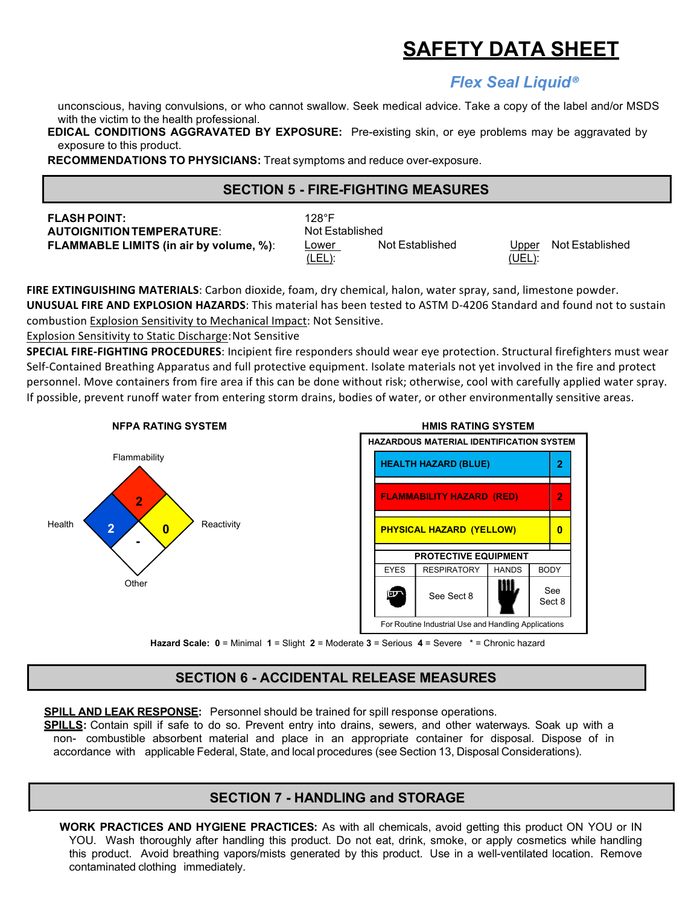# *Flex Seal Liquid®*

unconscious, having convulsions, or who cannot swallow. Seek medical advice. Take a copy of the label and/or MSDS with the victim to the health professional.

**EDICAL CONDITIONS AGGRAVATED BY EXPOSURE:** Pre-existing skin, or eye problems may be aggravated by exposure to this product.

**RECOMMENDATIONS TO PHYSICIANS:** Treat symptoms and reduce over-exposure.

# **SECTION 5 - FIRE-FIGHTING MEASURES**

| $128^{\circ}$ F |
|-----------------|
| Not Es          |
| Lower           |
|                 |

**Not Established** (LEL): Not Established (UEL): Upper Not Established

FIRE EXTINGUISHING MATERIALS: Carbon dioxide, foam, dry chemical, halon, water spray, sand, limestone powder. **UNUSUAL FIRE AND EXPLOSION HAZARDS:** This material has been tested to ASTM D-4206 Standard and found not to sustain combustion Explosion Sensitivity to Mechanical Impact: Not Sensitive.

Explosion Sensitivity to Static Discharge: Not Sensitive

**SPECIAL FIRE-FIGHTING PROCEDURES**: Incipient fire responders should wear eye protection. Structural firefighters must wear Self-Contained Breathing Apparatus and full protective equipment. Isolate materials not yet involved in the fire and protect personnel. Move containers from fire area if this can be done without risk; otherwise, cool with carefully applied water spray. If possible, prevent runoff water from entering storm drains, bodies of water, or other environmentally sensitive areas.



**Hazard Scale: 0** = Minimal **1** = Slight **2** = Moderate **3** = Serious **4** = Severe \* = Chronic hazard

# **SECTION 6 - ACCIDENTAL RELEASE MEASURES**

**SPILL AND LEAK RESPONSE:** Personnel should be trained for spill response operations.

**SPILLS:** Contain spill if safe to do so. Prevent entry into drains, sewers, and other waterways. Soak up with a non- combustible absorbent material and place in an appropriate container for disposal. Dispose of in accordance with applicable Federal, State, and local procedures (see Section 13, Disposal Considerations).

# **SECTION 7 - HANDLING and STORAGE**

contaminated clothing immediately.<br>
and the 2015 Page 3 of 7 www.flexibiology.com **WORK PRACTICES AND HYGIENE PRACTICES:** As with all chemicals, avoid getting this product ON YOU or IN YOU. Wash thoroughly after handling this product. Do not eat, drink, smoke, or apply cosmetics while handling this product. Avoid breathing vapors/mists generated by this product. Use in a well-ventilated location. Remove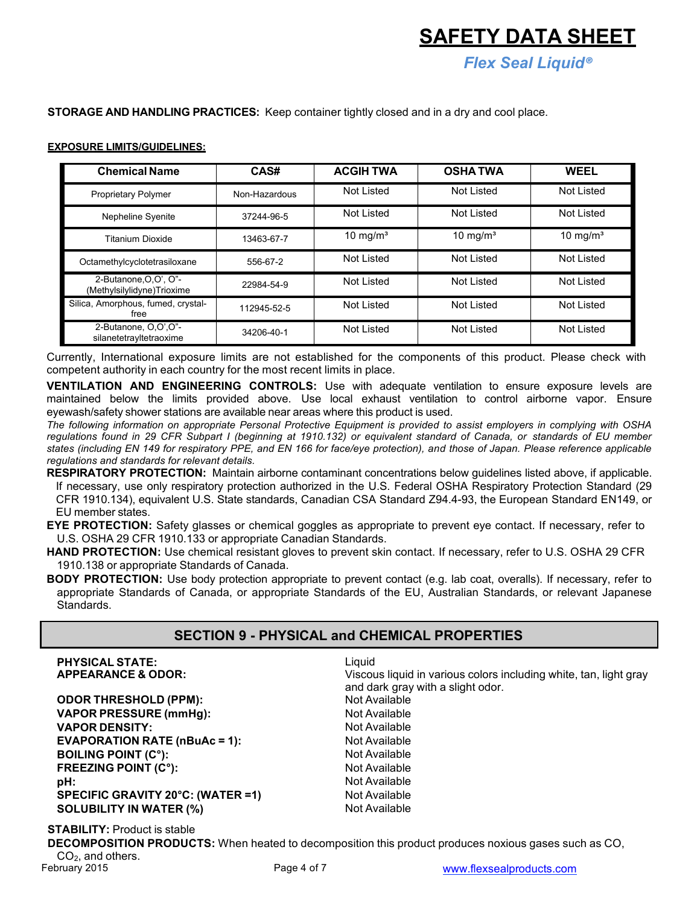*Flex Seal Liquid®*

#### **STORAGE AND HANDLING PRACTICES:** Keep container tightly closed and in a dry and cool place.

#### **EXPOSURE LIMITS/GUIDELINES:**

| <b>Chemical Name</b>                                | CAS#          | <b>ACGIH TWA</b>    | <b>OSHATWA</b>      | <b>WEEL</b>         |
|-----------------------------------------------------|---------------|---------------------|---------------------|---------------------|
| Proprietary Polymer                                 | Non-Hazardous | Not Listed          | Not Listed          | Not Listed          |
| <b>Nepheline Syenite</b>                            | 37244-96-5    | Not Listed          | Not Listed          | Not Listed          |
| <b>Titanium Dioxide</b>                             | 13463-67-7    | $10 \text{ mg/m}^3$ | $10 \text{ mg/m}^3$ | $10 \text{ mg/m}^3$ |
| Octamethylcyclotetrasiloxane                        | 556-67-2      | Not Listed          | Not Listed          | Not Listed          |
| 2-Butanone, O.O', O"-<br>(Methylsilylidyne)Trioxime | 22984-54-9    | <b>Not Listed</b>   | Not Listed          | <b>Not Listed</b>   |
| Silica, Amorphous, fumed, crystal-<br>free          | 112945-52-5   | Not Listed          | Not Listed          | Not Listed          |
| 2-Butanone, O,O',O"-<br>silanetetrayltetraoxime     | 34206-40-1    | Not Listed          | Not Listed          | Not Listed          |

Currently, International exposure limits are not established for the components of this product. Please check with competent authority in each country for the most recent limits in place.

**VENTILATION AND ENGINEERING CONTROLS:** Use with adequate ventilation to ensure exposure levels are maintained below the limits provided above. Use local exhaust ventilation to control airborne vapor. Ensure eyewash/safety shower stations are available near areas where this product is used.

The following information on appropriate Personal Protective Equipment is provided to assist employers in complying with OSHA regulations found in 29 CFR Subpart I (beginning at 1910.132) or equivalent standard of Canada, or standards of EU member states (including EN 149 for respiratory PPE, and EN 166 for face/eye protection), and those of Japan. Please reference applicable *regulations and standards for relevant details.*

**RESPIRATORY PROTECTION:** Maintain airborne contaminant concentrations below guidelines listed above, if applicable. If necessary, use only respiratory protection authorized in the U.S. Federal OSHA Respiratory Protection Standard (29 CFR 1910.134), equivalent U.S. State standards, Canadian CSA Standard Z94.4-93, the European Standard EN149, or EU member states.

**EYE PROTECTION:** Safety glasses or chemical goggles as appropriate to prevent eye contact. If necessary, refer to U.S. OSHA 29 CFR 1910.133 or appropriate Canadian Standards.

**HAND PROTECTION:** Use chemical resistant gloves to prevent skin contact. If necessary, refer to U.S. OSHA 29 CFR 1910.138 or appropriate Standards of Canada.

**BODY PROTECTION:** Use body protection appropriate to prevent contact (e.g. lab coat, overalls). If necessary, refer to appropriate Standards of Canada, or appropriate Standards of the EU, Australian Standards, or relevant Japanese Standards.

#### **SECTION 9 - PHYSICAL and CHEMICAL PROPERTIES**

| <b>PHYSICAL STATE:</b><br><b>APPEARANCE &amp; ODOR:</b> | Liquid<br>Viscous liquid in various colors including white, tan, light gray<br>and dark gray with a slight odor. |
|---------------------------------------------------------|------------------------------------------------------------------------------------------------------------------|
| <b>ODOR THRESHOLD (PPM):</b>                            | Not Available                                                                                                    |
| <b>VAPOR PRESSURE (mmHg):</b>                           | Not Available                                                                                                    |
| <b>VAPOR DENSITY:</b>                                   | Not Available                                                                                                    |
| <b>EVAPORATION RATE (nBuAc = 1):</b>                    | Not Available                                                                                                    |
| <b>BOILING POINT (C°):</b>                              | Not Available                                                                                                    |
| <b>FREEZING POINT (C°):</b>                             | Not Available                                                                                                    |
| pH:                                                     | Not Available                                                                                                    |
| SPECIFIC GRAVITY 20°C: (WATER =1)                       | Not Available                                                                                                    |
| <b>SOLUBILITY IN WATER (%)</b>                          | Not Available                                                                                                    |

**STABILITY:** Product is stable

**DECOMPOSITION PRODUCTS:** When heated to decomposition this product produces noxious gases such as CO,  $CO<sub>2</sub>$ , and others.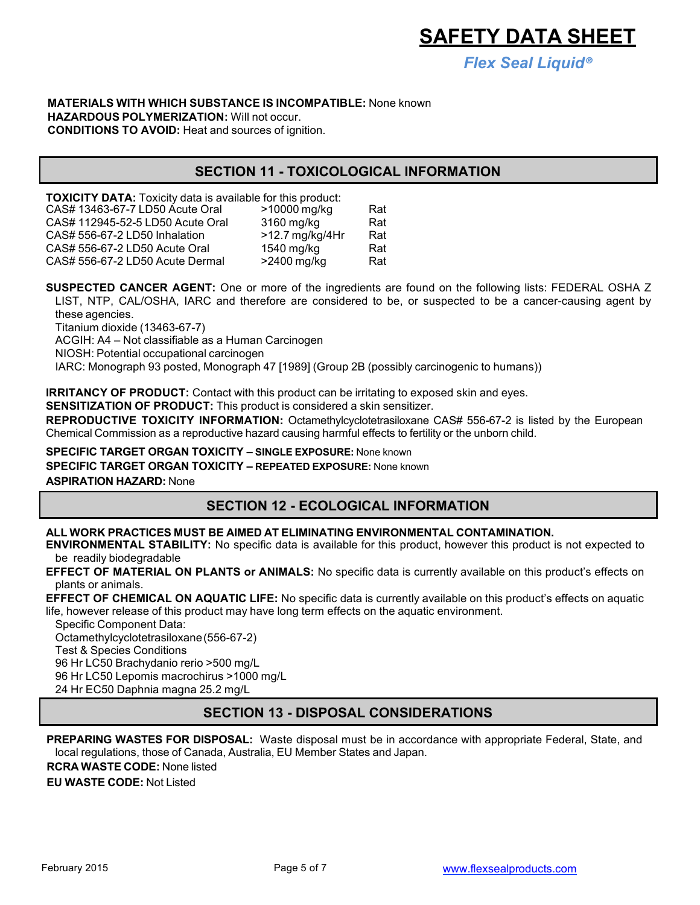*Flex Seal Liquid®*

#### **MATERIALS WITH WHICH SUBSTANCE IS INCOMPATIBLE:** None known **HAZARDOUS POLYMERIZATION:** Will not occur. **CONDITIONS TO AVOID:** Heat and sources of ignition.

# **SECTION 11 - TOXICOLOGICAL INFORMATION**

**TOXICITY DATA:** Toxicity data is available for this product:<br>CAS# 13463-67-7 LD50 Acute Oral **1978** > 10000 mg/kg CAS# 13463-67-7 LD50 Acute Oral  $>10000$  mg/kg Rat CAS# 112945-52-5 LD50 Acute Oral 3160 mg/kg Rat  $CAS# 556-67-2 LDS0 Inhalation$  >12.7 mg/kg/4Hr Rat  $CAS# 556-67-2 LD50$  Acute Oral 1540 mg/kg Rat  $CAS# 556-67-2 LDS0$  Acute Dermal  $>2400$  mg/kg Rat

**SUSPECTED CANCER AGENT:** One or more of the ingredients are found on the following lists: FEDERAL OSHA Z LIST, NTP, CAL/OSHA, IARC and therefore are considered to be, or suspected to be a cancer-causing agent by these agencies.

Titanium dioxide (13463-67-7)

ACGIH: A4 – Not classifiable as a Human Carcinogen

NIOSH: Potential occupational carcinogen

IARC: Monograph 93 posted, Monograph 47 [1989] (Group 2B (possibly carcinogenic to humans))

**IRRITANCY OF PRODUCT:** Contact with this product can be irritating to exposed skin and eyes.

**SENSITIZATION OF PRODUCT:** This product is considered a skin sensitizer.

**REPRODUCTIVE TOXICITY INFORMATION:** Octamethylcyclotetrasiloxane CAS# 556-67-2 is listed by the European Chemical Commission as a reproductive hazard causing harmful effects to fertility or the unborn child.

**SPECIFIC TARGET ORGAN TOXICITY – SINGLE EXPOSURE:** None known

**SPECIFIC TARGET ORGAN TOXICITY – REPEATED EXPOSURE:** None known

**ASPIRATION HAZARD:** None

# **SECTION 12 - ECOLOGICAL INFORMATION**

#### **ALL WORK PRACTICES MUST BE AIMED AT ELIMINATING ENVIRONMENTAL CONTAMINATION.**

**ENVIRONMENTAL STABILITY:** No specific data is available for this product, however this product is not expected to be readily biodegradable

**EFFECT OF MATERIAL ON PLANTS or ANIMALS:** No specific data is currently available on this product's effects on plants or animals.

**EFFECT OF CHEMICAL ON AQUATIC LIFE:** No specific data is currently available on this product's effects on aquatic life, however release of this product may have long term effects on the aquatic environment.

Specific Component Data:

Octamethylcyclotetrasiloxane(556-67-2)

Test & Species Conditions

96 Hr LC50 Brachydanio rerio >500 mg/L

96 Hr LC50 Lepomis macrochirus >1000 mg/L

24 Hr EC50 Daphnia magna 25.2 mg/L

### **SECTION 13 - DISPOSAL CONSIDERATIONS**

**PREPARING WASTES FOR DISPOSAL:** Waste disposal must be in accordance with appropriate Federal, State, and local regulations, those of Canada, Australia, EU Member States and Japan.

**RCRA WASTE CODE:** None listed

**EU WASTE CODE:** Not Listed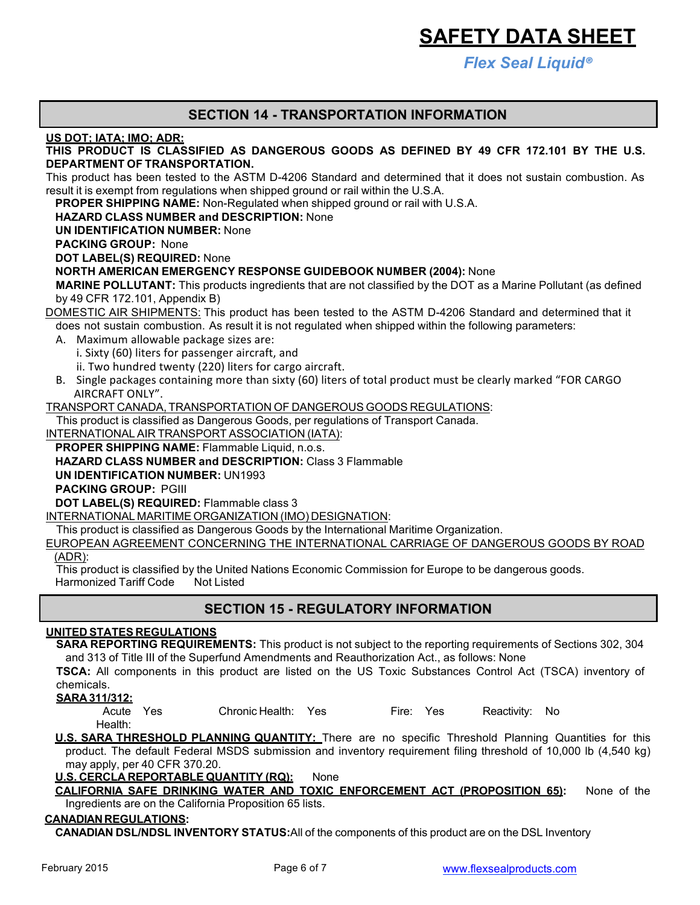*Flex Seal Liquid®*

### **SECTION 14 - TRANSPORTATION INFORMATION**

**US DOT; IATA; IMO; ADR:**

### **THIS PRODUCT IS CLASSIFIED AS DANGEROUS GOODS AS DEFINED BY 49 CFR 172.101 BY THE U.S. DEPARTMENT OF TRANSPORTATION.**

This product has been tested to the ASTM D-4206 Standard and determined that it does not sustain combustion. As result it is exempt from regulations when shipped ground or rail within the U.S.A.

**PROPER SHIPPING NAME:** Non-Regulated when shipped ground or rail with U.S.A.

#### **HAZARD CLASS NUMBER and DESCRIPTION:** None

**UN IDENTIFICATION NUMBER:** None

**PACKING GROUP:** None

**DOT LABEL(S) REQUIRED:** None

#### **NORTH AMERICAN EMERGENCY RESPONSE GUIDEBOOK NUMBER (2004):** None

**MARINE POLLUTANT:** This products ingredients that are not classified by the DOT as a Marine Pollutant (as defined by 49 CFR 172.101, Appendix B)

DOMESTIC AIR SHIPMENTS: This product has been tested to the ASTM D-4206 Standard and determined that it does not sustain combustion. As result it is not regulated when shipped within the following parameters:

- A. Maximum allowable package sizes are: **Cargo and Cargo Containing** Containing the containing of the containing of the containing of the containing of the containing of the containing of the containing of the containing o
- i. Sixty (60) liters for passenger aircraft, and  $\mathbb{E}[\mathbf{X}]$
- ii. Two hundred twenty (220) liters for cargo aircraft.
- A similable matrice containing more than sixty (60) liters of total product must be clearly marked "FOR CARGE B. Single packages containing more than sixty (60) liters of total product must be clearly marked "FOR CARGO<br>AIRCRAET ONLY" AIRCRAFT ONLY".

TRANSPORT CANADA, TRANSPORTATION OF DANGEROUS GOODS REGULATIONS:

This product is classified as Dangerous Goods, per regulations of Transport Canada.

INTERNATIONAL AIR TRANSPORT ASSOCIATION (IATA):

**PROPER SHIPPING NAME:** Flammable Liquid, n.o.s.

**HAZARD CLASS NUMBER and DESCRIPTION:** Class 3 Flammable

**UN IDENTIFICATION NUMBER:** UN1993

**PACKING GROUP:** PGIII

**DOT LABEL(S) REQUIRED:** Flammable class 3

INTERNATIONAL MARITIME ORGANIZATION (IMO) DESIGNATION:

This product is classified as Dangerous Goods by the International Maritime Organization.

EUROPEAN AGREEMENT CONCERNING THE INTERNATIONAL CARRIAGE OF DANGEROUS GOODS BY ROAD (ADR):

This product is classified by the United Nations Economic Commission for Europe to be dangerous goods. Harmonized Tariff Code Not Listed

### **SECTION 15 - REGULATORY INFORMATION**

#### **UNITED STATES REGULATIONS**

**SARA REPORTING REQUIREMENTS:** This product is not subject to the reporting requirements of Sections 302, 304 and 313 of Title III of the Superfund Amendments and Reauthorization Act., as follows: None

**TSCA:** All components in this product are listed on the US Toxic Substances Control Act (TSCA) inventory of chemicals.

**SARA 311/312:**

| Acute Yes | Chronic Health: Yes | Fire: Yes | Reactivity: No |  |
|-----------|---------------------|-----------|----------------|--|
| Health:   |                     |           |                |  |

**U.S. SARA THRESHOLD PLANNING QUANTITY:** There are no specific Threshold Planning Quantities for this product. The default Federal MSDS submission and inventory requirement filing threshold of 10,000 lb (4,540 kg) may apply, per 40 CFR 370.20.

**U.S. CERCLA REPORTABLE QUANTITY (RQ):** None

**CALIFORNIA SAFE DRINKING WATER AND TOXIC ENFORCEMENT ACT (PROPOSITION 65):** None of the Ingredients are on the California Proposition 65 lists.

#### **CANADIANREGULATIONS:**

**CANADIAN DSL/NDSL INVENTORY STATUS:**All of the components of this product are on the DSL Inventory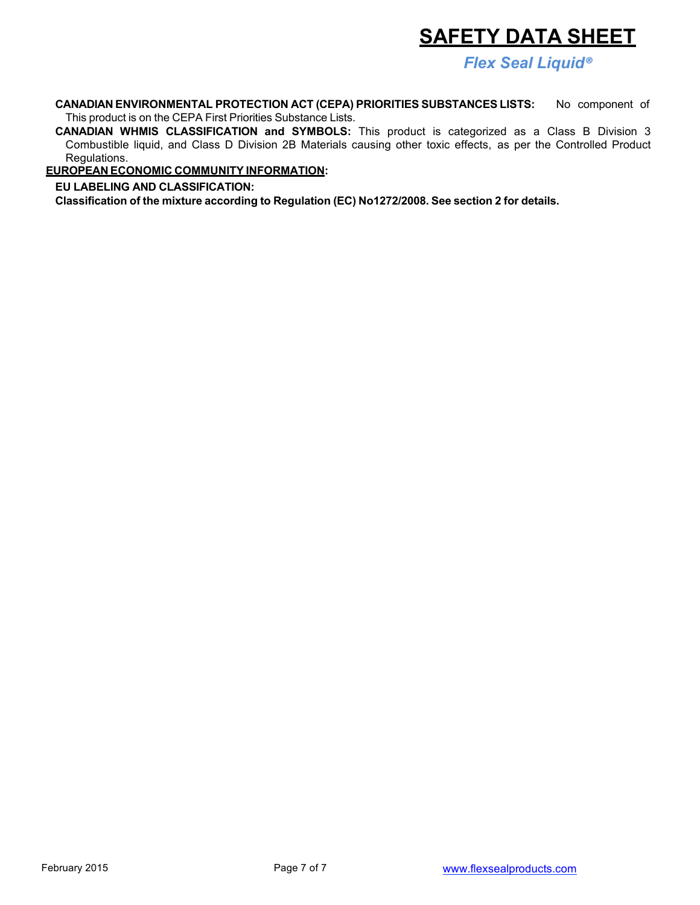*Flex Seal Liquid®*

**CANADIAN ENVIRONMENTAL PROTECTION ACT (CEPA) PRIORITIES SUBSTANCES LISTS:** No component of This product is on the CEPA First Priorities Substance Lists.

**CANADIAN WHMIS CLASSIFICATION and SYMBOLS:** This product is categorized as a Class B Division 3 Combustible liquid, and Class D Division 2B Materials causing other toxic effects, as per the Controlled Product Regulations.

**EUROPEAN ECONOMIC COMMUNITY INFORMATION:**

**EU LABELING AND CLASSIFICATION:**

**Classification of the mixture according to Regulation (EC) No1272/2008. See section 2 for details.**